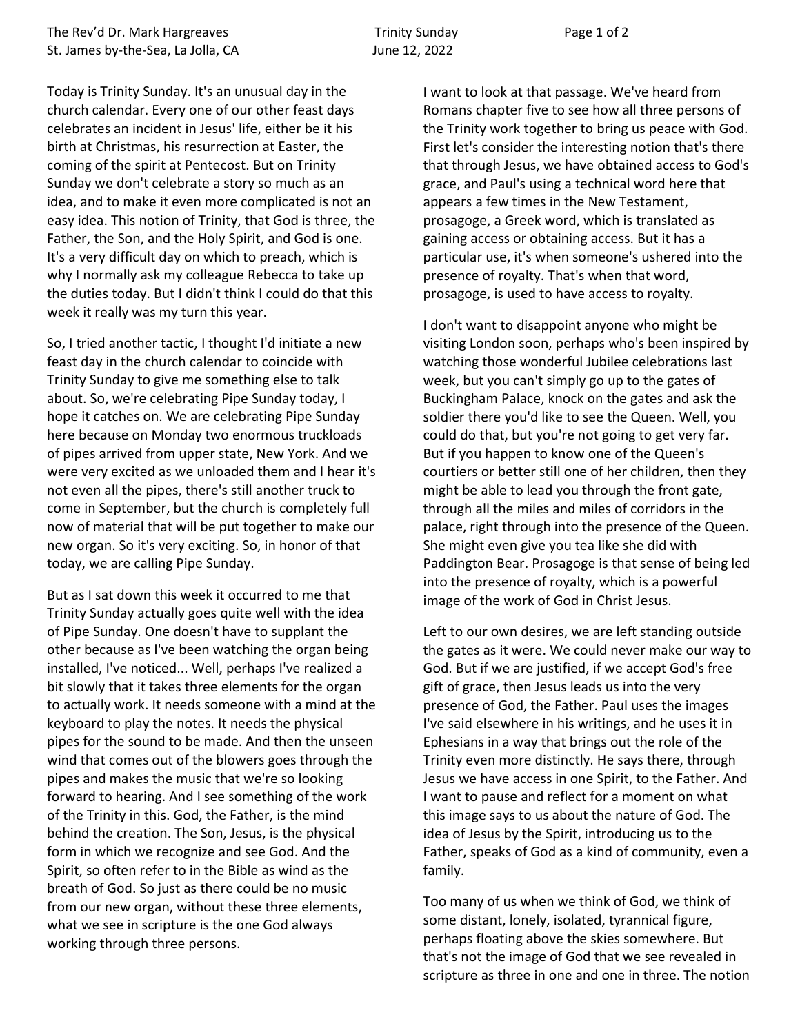Today is Trinity Sunday. It's an unusual day in the church calendar. Every one of our other feast days celebrates an incident in Jesus' life, either be it his birth at Christmas, his resurrection at Easter, the coming of the spirit at Pentecost. But on Trinity Sunday we don't celebrate a story so much as an idea, and to make it even more complicated is not an easy idea. This notion of Trinity, that God is three, the Father, the Son, and the Holy Spirit, and God is one. It's a very difficult day on which to preach, which is why I normally ask my colleague Rebecca to take up the duties today. But I didn't think I could do that this week it really was my turn this year.

So, I tried another tactic, I thought I'd initiate a new feast day in the church calendar to coincide with Trinity Sunday to give me something else to talk about. So, we're celebrating Pipe Sunday today, I hope it catches on. We are celebrating Pipe Sunday here because on Monday two enormous truckloads of pipes arrived from upper state, New York. And we were very excited as we unloaded them and I hear it's not even all the pipes, there's still another truck to come in September, but the church is completely full now of material that will be put together to make our new organ. So it's very exciting. So, in honor of that today, we are calling Pipe Sunday.

But as I sat down this week it occurred to me that Trinity Sunday actually goes quite well with the idea of Pipe Sunday. One doesn't have to supplant the other because as I've been watching the organ being installed, I've noticed... Well, perhaps I've realized a bit slowly that it takes three elements for the organ to actually work. It needs someone with a mind at the keyboard to play the notes. It needs the physical pipes for the sound to be made. And then the unseen wind that comes out of the blowers goes through the pipes and makes the music that we're so looking forward to hearing. And I see something of the work of the Trinity in this. God, the Father, is the mind behind the creation. The Son, Jesus, is the physical form in which we recognize and see God. And the Spirit, so often refer to in the Bible as wind as the breath of God. So just as there could be no music from our new organ, without these three elements, what we see in scripture is the one God always working through three persons.

I want to look at that passage. We've heard from Romans chapter five to see how all three persons of the Trinity work together to bring us peace with God. First let's consider the interesting notion that's there that through Jesus, we have obtained access to God's grace, and Paul's using a technical word here that appears a few times in the New Testament, prosagoge, a Greek word, which is translated as gaining access or obtaining access. But it has a particular use, it's when someone's ushered into the presence of royalty. That's when that word, prosagoge, is used to have access to royalty.

I don't want to disappoint anyone who might be visiting London soon, perhaps who's been inspired by watching those wonderful Jubilee celebrations last week, but you can't simply go up to the gates of Buckingham Palace, knock on the gates and ask the soldier there you'd like to see the Queen. Well, you could do that, but you're not going to get very far. But if you happen to know one of the Queen's courtiers or better still one of her children, then they might be able to lead you through the front gate, through all the miles and miles of corridors in the palace, right through into the presence of the Queen. She might even give you tea like she did with Paddington Bear. Prosagoge is that sense of being led into the presence of royalty, which is a powerful image of the work of God in Christ Jesus.

Left to our own desires, we are left standing outside the gates as it were. We could never make our way to God. But if we are justified, if we accept God's free gift of grace, then Jesus leads us into the very presence of God, the Father. Paul uses the images I've said elsewhere in his writings, and he uses it in Ephesians in a way that brings out the role of the Trinity even more distinctly. He says there, through Jesus we have access in one Spirit, to the Father. And I want to pause and reflect for a moment on what this image says to us about the nature of God. The idea of Jesus by the Spirit, introducing us to the Father, speaks of God as a kind of community, even a family.

Too many of us when we think of God, we think of some distant, lonely, isolated, tyrannical figure, perhaps floating above the skies somewhere. But that's not the image of God that we see revealed in scripture as three in one and one in three. The notion